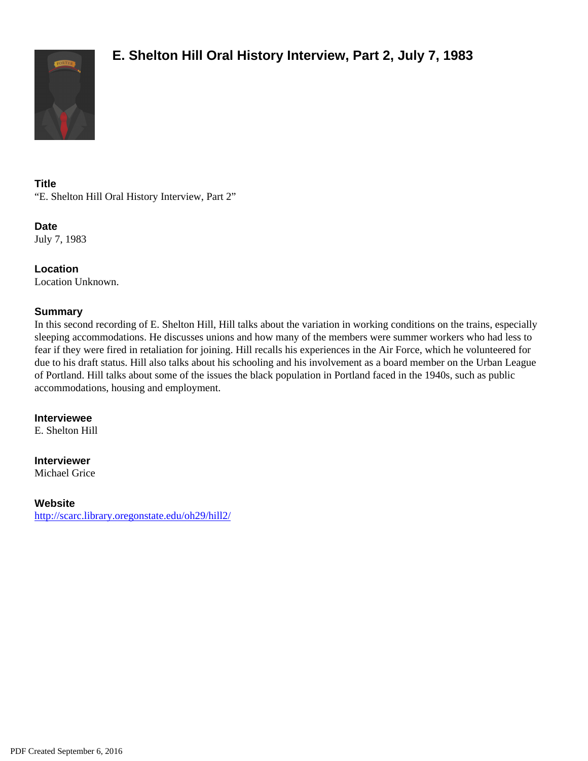

# **Title**

"E. Shelton Hill Oral History Interview, Part 2"

**Date** July 7, 1983

**Location** Location Unknown.

# **Summary**

In this second recording of E. Shelton Hill, Hill talks about the variation in working conditions on the trains, especially sleeping accommodations. He discusses unions and how many of the members were summer workers who had less to fear if they were fired in retaliation for joining. Hill recalls his experiences in the Air Force, which he volunteered for due to his draft status. Hill also talks about his schooling and his involvement as a board member on the Urban League of Portland. Hill talks about some of the issues the black population in Portland faced in the 1940s, such as public accommodations, housing and employment.

# **Interviewee**

E. Shelton Hill

### **Interviewer**

Michael Grice

# **Website**

<http://scarc.library.oregonstate.edu/oh29/hill2/>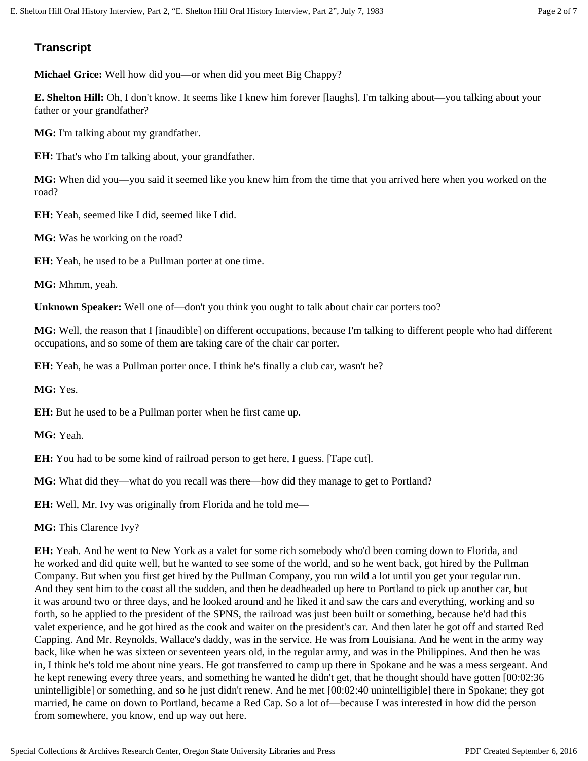# **Transcript**

**Michael Grice:** Well how did you—or when did you meet Big Chappy?

**E. Shelton Hill:** Oh, I don't know. It seems like I knew him forever [laughs]. I'm talking about—you talking about your father or your grandfather?

**MG:** I'm talking about my grandfather.

**EH:** That's who I'm talking about, your grandfather.

**MG:** When did you—you said it seemed like you knew him from the time that you arrived here when you worked on the road?

**EH:** Yeah, seemed like I did, seemed like I did.

**MG:** Was he working on the road?

**EH:** Yeah, he used to be a Pullman porter at one time.

**MG:** Mhmm, yeah.

**Unknown Speaker:** Well one of—don't you think you ought to talk about chair car porters too?

**MG:** Well, the reason that I [inaudible] on different occupations, because I'm talking to different people who had different occupations, and so some of them are taking care of the chair car porter.

**EH:** Yeah, he was a Pullman porter once. I think he's finally a club car, wasn't he?

**MG:** Yes.

**EH:** But he used to be a Pullman porter when he first came up.

**MG:** Yeah.

**EH:** You had to be some kind of railroad person to get here, I guess. [Tape cut].

**MG:** What did they—what do you recall was there—how did they manage to get to Portland?

**EH:** Well, Mr. Ivy was originally from Florida and he told me—

**MG:** This Clarence Ivy?

**EH:** Yeah. And he went to New York as a valet for some rich somebody who'd been coming down to Florida, and he worked and did quite well, but he wanted to see some of the world, and so he went back, got hired by the Pullman Company. But when you first get hired by the Pullman Company, you run wild a lot until you get your regular run. And they sent him to the coast all the sudden, and then he deadheaded up here to Portland to pick up another car, but it was around two or three days, and he looked around and he liked it and saw the cars and everything, working and so forth, so he applied to the president of the SPNS, the railroad was just been built or something, because he'd had this valet experience, and he got hired as the cook and waiter on the president's car. And then later he got off and started Red Capping. And Mr. Reynolds, Wallace's daddy, was in the service. He was from Louisiana. And he went in the army way back, like when he was sixteen or seventeen years old, in the regular army, and was in the Philippines. And then he was in, I think he's told me about nine years. He got transferred to camp up there in Spokane and he was a mess sergeant. And he kept renewing every three years, and something he wanted he didn't get, that he thought should have gotten [00:02:36 unintelligible] or something, and so he just didn't renew. And he met [00:02:40 unintelligible] there in Spokane; they got married, he came on down to Portland, became a Red Cap. So a lot of—because I was interested in how did the person from somewhere, you know, end up way out here.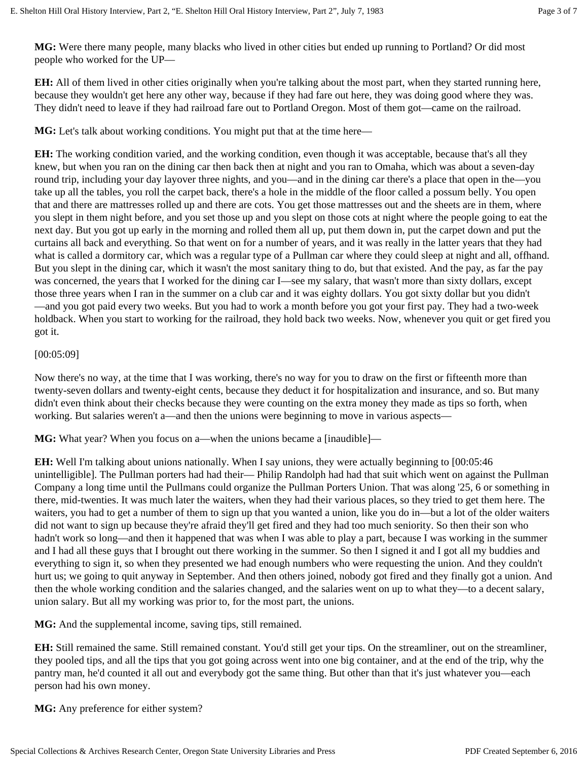**MG:** Were there many people, many blacks who lived in other cities but ended up running to Portland? Or did most people who worked for the UP—

**EH:** All of them lived in other cities originally when you're talking about the most part, when they started running here, because they wouldn't get here any other way, because if they had fare out here, they was doing good where they was. They didn't need to leave if they had railroad fare out to Portland Oregon. Most of them got—came on the railroad.

**MG:** Let's talk about working conditions. You might put that at the time here—

**EH:** The working condition varied, and the working condition, even though it was acceptable, because that's all they knew, but when you ran on the dining car then back then at night and you ran to Omaha, which was about a seven-day round trip, including your day layover three nights, and you—and in the dining car there's a place that open in the—you take up all the tables, you roll the carpet back, there's a hole in the middle of the floor called a possum belly. You open that and there are mattresses rolled up and there are cots. You get those mattresses out and the sheets are in them, where you slept in them night before, and you set those up and you slept on those cots at night where the people going to eat the next day. But you got up early in the morning and rolled them all up, put them down in, put the carpet down and put the curtains all back and everything. So that went on for a number of years, and it was really in the latter years that they had what is called a dormitory car, which was a regular type of a Pullman car where they could sleep at night and all, offhand. But you slept in the dining car, which it wasn't the most sanitary thing to do, but that existed. And the pay, as far the pay was concerned, the years that I worked for the dining car I—see my salary, that wasn't more than sixty dollars, except those three years when I ran in the summer on a club car and it was eighty dollars. You got sixty dollar but you didn't —and you got paid every two weeks. But you had to work a month before you got your first pay. They had a two-week holdback. When you start to working for the railroad, they hold back two weeks. Now, whenever you quit or get fired you got it.

### [00:05:09]

Now there's no way, at the time that I was working, there's no way for you to draw on the first or fifteenth more than twenty-seven dollars and twenty-eight cents, because they deduct it for hospitalization and insurance, and so. But many didn't even think about their checks because they were counting on the extra money they made as tips so forth, when working. But salaries weren't a—and then the unions were beginning to move in various aspects—

**MG:** What year? When you focus on a—when the unions became a [inaudible]—

**EH:** Well I'm talking about unions nationally. When I say unions, they were actually beginning to [00:05:46 unintelligible]. The Pullman porters had had their— Philip Randolph had had that suit which went on against the Pullman Company a long time until the Pullmans could organize the Pullman Porters Union. That was along '25, 6 or something in there, mid-twenties. It was much later the waiters, when they had their various places, so they tried to get them here. The waiters, you had to get a number of them to sign up that you wanted a union, like you do in—but a lot of the older waiters did not want to sign up because they're afraid they'll get fired and they had too much seniority. So then their son who hadn't work so long—and then it happened that was when I was able to play a part, because I was working in the summer and I had all these guys that I brought out there working in the summer. So then I signed it and I got all my buddies and everything to sign it, so when they presented we had enough numbers who were requesting the union. And they couldn't hurt us; we going to quit anyway in September. And then others joined, nobody got fired and they finally got a union. And then the whole working condition and the salaries changed, and the salaries went on up to what they—to a decent salary, union salary. But all my working was prior to, for the most part, the unions.

**MG:** And the supplemental income, saving tips, still remained.

**EH:** Still remained the same. Still remained constant. You'd still get your tips. On the streamliner, out on the streamliner, they pooled tips, and all the tips that you got going across went into one big container, and at the end of the trip, why the pantry man, he'd counted it all out and everybody got the same thing. But other than that it's just whatever you—each person had his own money.

**MG:** Any preference for either system?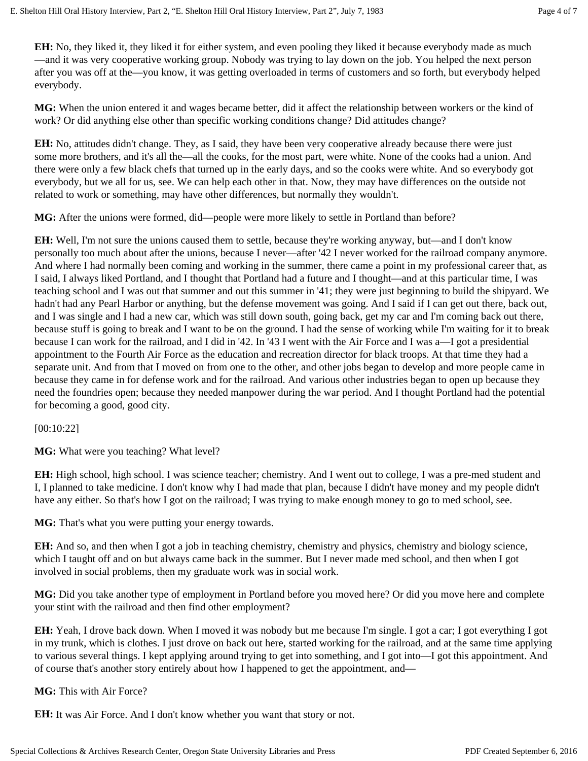**EH:** No, they liked it, they liked it for either system, and even pooling they liked it because everybody made as much —and it was very cooperative working group. Nobody was trying to lay down on the job. You helped the next person after you was off at the—you know, it was getting overloaded in terms of customers and so forth, but everybody helped everybody.

**MG:** When the union entered it and wages became better, did it affect the relationship between workers or the kind of work? Or did anything else other than specific working conditions change? Did attitudes change?

**EH:** No, attitudes didn't change. They, as I said, they have been very cooperative already because there were just some more brothers, and it's all the—all the cooks, for the most part, were white. None of the cooks had a union. And there were only a few black chefs that turned up in the early days, and so the cooks were white. And so everybody got everybody, but we all for us, see. We can help each other in that. Now, they may have differences on the outside not related to work or something, may have other differences, but normally they wouldn't.

**MG:** After the unions were formed, did—people were more likely to settle in Portland than before?

**EH:** Well, I'm not sure the unions caused them to settle, because they're working anyway, but—and I don't know personally too much about after the unions, because I never—after '42 I never worked for the railroad company anymore. And where I had normally been coming and working in the summer, there came a point in my professional career that, as I said, I always liked Portland, and I thought that Portland had a future and I thought—and at this particular time, I was teaching school and I was out that summer and out this summer in '41; they were just beginning to build the shipyard. We hadn't had any Pearl Harbor or anything, but the defense movement was going. And I said if I can get out there, back out, and I was single and I had a new car, which was still down south, going back, get my car and I'm coming back out there, because stuff is going to break and I want to be on the ground. I had the sense of working while I'm waiting for it to break because I can work for the railroad, and I did in '42. In '43 I went with the Air Force and I was a—I got a presidential appointment to the Fourth Air Force as the education and recreation director for black troops. At that time they had a separate unit. And from that I moved on from one to the other, and other jobs began to develop and more people came in because they came in for defense work and for the railroad. And various other industries began to open up because they need the foundries open; because they needed manpower during the war period. And I thought Portland had the potential for becoming a good, good city.

[00:10:22]

**MG:** What were you teaching? What level?

**EH:** High school, high school. I was science teacher; chemistry. And I went out to college, I was a pre-med student and I, I planned to take medicine. I don't know why I had made that plan, because I didn't have money and my people didn't have any either. So that's how I got on the railroad; I was trying to make enough money to go to med school, see.

**MG:** That's what you were putting your energy towards.

**EH:** And so, and then when I got a job in teaching chemistry, chemistry and physics, chemistry and biology science, which I taught off and on but always came back in the summer. But I never made med school, and then when I got involved in social problems, then my graduate work was in social work.

**MG:** Did you take another type of employment in Portland before you moved here? Or did you move here and complete your stint with the railroad and then find other employment?

**EH:** Yeah, I drove back down. When I moved it was nobody but me because I'm single. I got a car; I got everything I got in my trunk, which is clothes. I just drove on back out here, started working for the railroad, and at the same time applying to various several things. I kept applying around trying to get into something, and I got into—I got this appointment. And of course that's another story entirely about how I happened to get the appointment, and—

**MG:** This with Air Force?

**EH:** It was Air Force. And I don't know whether you want that story or not.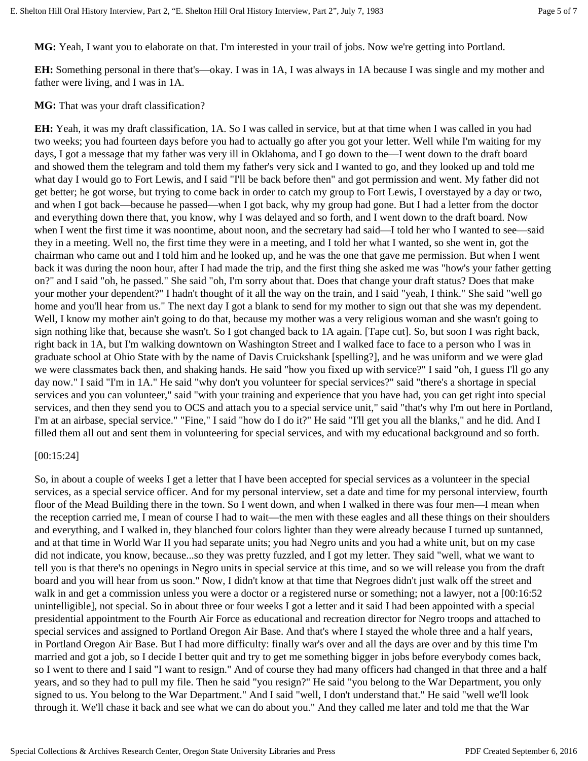**MG:** Yeah, I want you to elaborate on that. I'm interested in your trail of jobs. Now we're getting into Portland.

**EH:** Something personal in there that's—okay. I was in 1A, I was always in 1A because I was single and my mother and father were living, and I was in 1A.

**MG:** That was your draft classification?

**EH:** Yeah, it was my draft classification, 1A. So I was called in service, but at that time when I was called in you had two weeks; you had fourteen days before you had to actually go after you got your letter. Well while I'm waiting for my days, I got a message that my father was very ill in Oklahoma, and I go down to the—I went down to the draft board and showed them the telegram and told them my father's very sick and I wanted to go, and they looked up and told me what day I would go to Fort Lewis, and I said "I'll be back before then" and got permission and went. My father did not get better; he got worse, but trying to come back in order to catch my group to Fort Lewis, I overstayed by a day or two, and when I got back—because he passed—when I got back, why my group had gone. But I had a letter from the doctor and everything down there that, you know, why I was delayed and so forth, and I went down to the draft board. Now when I went the first time it was noontime, about noon, and the secretary had said—I told her who I wanted to see—said they in a meeting. Well no, the first time they were in a meeting, and I told her what I wanted, so she went in, got the chairman who came out and I told him and he looked up, and he was the one that gave me permission. But when I went back it was during the noon hour, after I had made the trip, and the first thing she asked me was "how's your father getting on?" and I said "oh, he passed." She said "oh, I'm sorry about that. Does that change your draft status? Does that make your mother your dependent?" I hadn't thought of it all the way on the train, and I said "yeah, I think." She said "well go home and you'll hear from us." The next day I got a blank to send for my mother to sign out that she was my dependent. Well, I know my mother ain't going to do that, because my mother was a very religious woman and she wasn't going to sign nothing like that, because she wasn't. So I got changed back to 1A again. [Tape cut]. So, but soon I was right back, right back in 1A, but I'm walking downtown on Washington Street and I walked face to face to a person who I was in graduate school at Ohio State with by the name of Davis Cruickshank [spelling?], and he was uniform and we were glad we were classmates back then, and shaking hands. He said "how you fixed up with service?" I said "oh, I guess I'll go any day now." I said "I'm in 1A." He said "why don't you volunteer for special services?" said "there's a shortage in special services and you can volunteer," said "with your training and experience that you have had, you can get right into special services, and then they send you to OCS and attach you to a special service unit," said "that's why I'm out here in Portland, I'm at an airbase, special service." "Fine," I said "how do I do it?" He said "I'll get you all the blanks," and he did. And I filled them all out and sent them in volunteering for special services, and with my educational background and so forth.

### [00:15:24]

So, in about a couple of weeks I get a letter that I have been accepted for special services as a volunteer in the special services, as a special service officer. And for my personal interview, set a date and time for my personal interview, fourth floor of the Mead Building there in the town. So I went down, and when I walked in there was four men—I mean when the reception carried me, I mean of course I had to wait—the men with these eagles and all these things on their shoulders and everything, and I walked in, they blanched four colors lighter than they were already because I turned up suntanned, and at that time in World War II you had separate units; you had Negro units and you had a white unit, but on my case did not indicate, you know, because...so they was pretty fuzzled, and I got my letter. They said "well, what we want to tell you is that there's no openings in Negro units in special service at this time, and so we will release you from the draft board and you will hear from us soon." Now, I didn't know at that time that Negroes didn't just walk off the street and walk in and get a commission unless you were a doctor or a registered nurse or something; not a lawyer, not a  $[00:16:52]$ unintelligible], not special. So in about three or four weeks I got a letter and it said I had been appointed with a special presidential appointment to the Fourth Air Force as educational and recreation director for Negro troops and attached to special services and assigned to Portland Oregon Air Base. And that's where I stayed the whole three and a half years, in Portland Oregon Air Base. But I had more difficulty: finally war's over and all the days are over and by this time I'm married and got a job, so I decide I better quit and try to get me something bigger in jobs before everybody comes back, so I went to there and I said "I want to resign." And of course they had many officers had changed in that three and a half years, and so they had to pull my file. Then he said "you resign?" He said "you belong to the War Department, you only signed to us. You belong to the War Department." And I said "well, I don't understand that." He said "well we'll look through it. We'll chase it back and see what we can do about you." And they called me later and told me that the War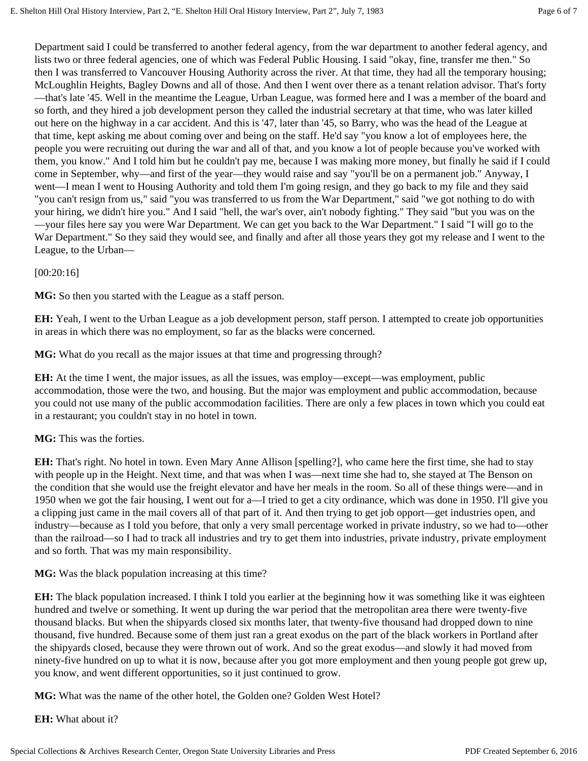Department said I could be transferred to another federal agency, from the war department to another federal agency, and lists two or three federal agencies, one of which was Federal Public Housing. I said "okay, fine, transfer me then." So then I was transferred to Vancouver Housing Authority across the river. At that time, they had all the temporary housing; McLoughlin Heights, Bagley Downs and all of those. And then I went over there as a tenant relation advisor. That's forty —that's late '45. Well in the meantime the League, Urban League, was formed here and I was a member of the board and so forth, and they hired a job development person they called the industrial secretary at that time, who was later killed out here on the highway in a car accident. And this is '47, later than '45, so Barry, who was the head of the League at that time, kept asking me about coming over and being on the staff. He'd say "you know a lot of employees here, the people you were recruiting out during the war and all of that, and you know a lot of people because you've worked with them, you know." And I told him but he couldn't pay me, because I was making more money, but finally he said if I could come in September, why—and first of the year—they would raise and say "you'll be on a permanent job." Anyway, I went—I mean I went to Housing Authority and told them I'm going resign, and they go back to my file and they said "you can't resign from us," said "you was transferred to us from the War Department," said "we got nothing to do with your hiring, we didn't hire you." And I said "hell, the war's over, ain't nobody fighting." They said "but you was on the —your files here say you were War Department. We can get you back to the War Department." I said "I will go to the War Department." So they said they would see, and finally and after all those years they got my release and I went to the League, to the Urban—

#### [00:20:16]

**MG:** So then you started with the League as a staff person.

**EH:** Yeah, I went to the Urban League as a job development person, staff person. I attempted to create job opportunities in areas in which there was no employment, so far as the blacks were concerned.

**MG:** What do you recall as the major issues at that time and progressing through?

**EH:** At the time I went, the major issues, as all the issues, was employ—except—was employment, public accommodation, those were the two, and housing. But the major was employment and public accommodation, because you could not use many of the public accommodation facilities. There are only a few places in town which you could eat in a restaurant; you couldn't stay in no hotel in town.

### **MG:** This was the forties.

**EH:** That's right. No hotel in town. Even Mary Anne Allison [spelling?], who came here the first time, she had to stay with people up in the Height. Next time, and that was when I was—next time she had to, she stayed at The Benson on the condition that she would use the freight elevator and have her meals in the room. So all of these things were—and in 1950 when we got the fair housing, I went out for a—I tried to get a city ordinance, which was done in 1950. I'll give you a clipping just came in the mail covers all of that part of it. And then trying to get job opport—get industries open, and industry—because as I told you before, that only a very small percentage worked in private industry, so we had to—other than the railroad—so I had to track all industries and try to get them into industries, private industry, private employment and so forth. That was my main responsibility.

**MG:** Was the black population increasing at this time?

**EH:** The black population increased. I think I told you earlier at the beginning how it was something like it was eighteen hundred and twelve or something. It went up during the war period that the metropolitan area there were twenty-five thousand blacks. But when the shipyards closed six months later, that twenty-five thousand had dropped down to nine thousand, five hundred. Because some of them just ran a great exodus on the part of the black workers in Portland after the shipyards closed, because they were thrown out of work. And so the great exodus—and slowly it had moved from ninety-five hundred on up to what it is now, because after you got more employment and then young people got grew up, you know, and went different opportunities, so it just continued to grow.

**MG:** What was the name of the other hotel, the Golden one? Golden West Hotel?

**EH:** What about it?